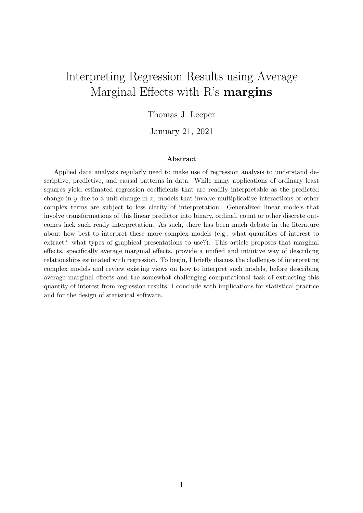# Interpreting Regression Results using Average Marginal Effects with R's margins

#### Thomas J. Leeper

January 21, 2021

#### Abstract

Applied data analysts regularly need to make use of regression analysis to understand descriptive, predictive, and causal patterns in data. While many applications of ordinary least squares yield estimated regression coefficients that are readily interpretable as the predicted change in y due to a unit change in x, models that involve multiplicative interactions or other complex terms are subject to less clarity of interpretation. Generalized linear models that involve transformations of this linear predictor into binary, ordinal, count or other discrete outcomes lack such ready interpretation. As such, there has been much debate in the literature about how best to interpret these more complex models (e.g., what quantities of interest to extract? what types of graphical presentations to use?). This article proposes that marginal effects, specifically average marginal effects, provide a unified and intuitive way of describing relationships estimated with regression. To begin, I briefly discuss the challenges of interpreting complex models and review existing views on how to interpret such models, before describing average marginal effects and the somewhat challenging computational task of extracting this quantity of interest from regression results. I conclude with implications for statistical practice and for the design of statistical software.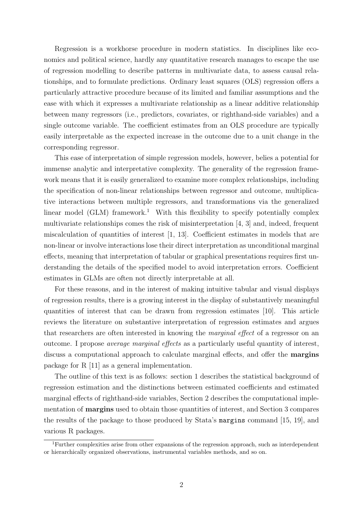Regression is a workhorse procedure in modern statistics. In disciplines like economics and political science, hardly any quantitative research manages to escape the use of regression modelling to describe patterns in multivariate data, to assess causal relationships, and to formulate predictions. Ordinary least squares (OLS) regression offers a particularly attractive procedure because of its limited and familiar assumptions and the ease with which it expresses a multivariate relationship as a linear additive relationship between many regressors (i.e., predictors, covariates, or righthand-side variables) and a single outcome variable. The coefficient estimates from an OLS procedure are typically easily interpretable as the expected increase in the outcome due to a unit change in the corresponding regressor.

This ease of interpretation of simple regression models, however, belies a potential for immense analytic and interpretative complexity. The generality of the regression framework means that it is easily generalized to examine more complex relationships, including the specification of non-linear relationships between regressor and outcome, multiplicative interactions between multiple regressors, and transformations via the generalized linear model  $(GLM)$  framework.<sup>1</sup> With this flexibility to specify potentially complex multivariate relationships comes the risk of misinterpretation [4, 3] and, indeed, frequent miscalculation of quantities of interest [1, 13]. Coefficient estimates in models that are non-linear or involve interactions lose their direct interpretation as unconditional marginal effects, meaning that interpretation of tabular or graphical presentations requires first understanding the details of the specified model to avoid interpretation errors. Coefficient estimates in GLMs are often not directly interpretable at all.

For these reasons, and in the interest of making intuitive tabular and visual displays of regression results, there is a growing interest in the display of substantively meaningful quantities of interest that can be drawn from regression estimates [10]. This article reviews the literature on substantive interpretation of regression estimates and argues that researchers are often interested in knowing the marginal effect of a regressor on an outcome. I propose average marginal effects as a particularly useful quantity of interest, discuss a computational approach to calculate marginal effects, and offer the margins package for R [11] as a general implementation.

The outline of this text is as follows: section 1 describes the statistical background of regression estimation and the distinctions between estimated coefficients and estimated marginal effects of righthand-side variables, Section 2 describes the computational implementation of margins used to obtain those quantities of interest, and Section 3 compares the results of the package to those produced by Stata's margins command [15, 19], and various R packages.

<sup>1</sup>Further complexities arise from other expansions of the regression approach, such as interdependent or hierarchically organized observations, instrumental variables methods, and so on.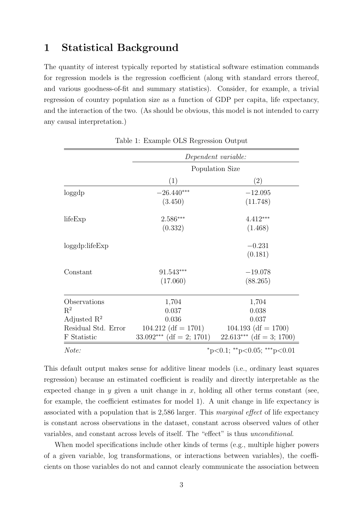## 1 Statistical Background

The quantity of interest typically reported by statistical software estimation commands for regression models is the regression coefficient (along with standard errors thereof, and various goodness-of-fit and summary statistics). Consider, for example, a trivial regression of country population size as a function of GDP per capita, life expectancy, and the interaction of the two. (As should be obvious, this model is not intended to carry any causal interpretation.)

|                         | Dependent variable:        |                                           |  |  |  |
|-------------------------|----------------------------|-------------------------------------------|--|--|--|
|                         | Population Size            |                                           |  |  |  |
|                         | (1)                        | (2)                                       |  |  |  |
| loggdp                  | $-26.440***$               | $-12.095$                                 |  |  |  |
|                         | (3.450)                    | (11.748)                                  |  |  |  |
| lifeExp                 | 2.586***                   | $4.412***$                                |  |  |  |
|                         | (0.332)                    | (1.468)                                   |  |  |  |
| loggdp: lifeExp         |                            | $-0.231$                                  |  |  |  |
|                         |                            | (0.181)                                   |  |  |  |
| Constant                | 91.543***                  | $-19.078$                                 |  |  |  |
|                         | (17.060)                   | (88.265)                                  |  |  |  |
| Observations            | 1,704                      | 1,704                                     |  |  |  |
| $\mathbf{R}^2$          | 0.037                      | 0.038                                     |  |  |  |
| Adjusted $\mathbb{R}^2$ | 0.036                      | 0.037                                     |  |  |  |
| Residual Std. Error     | $104.212$ (df = 1701)      | $104.193$ (df = 1700)                     |  |  |  |
| F Statistic             | $33.092***$ (df = 2; 1701) | $22.613***$ (df = 3; 1700)                |  |  |  |
| Note:                   |                            | $*_{p<0.1}$ ; $*_{p<0.05}$ ; $*_{p<0.01}$ |  |  |  |

Table 1: Example OLS Regression Output

This default output makes sense for additive linear models (i.e., ordinary least squares regression) because an estimated coefficient is readily and directly interpretable as the expected change in y given a unit change in  $x$ , holding all other terms constant (see, for example, the coefficient estimates for model 1). A unit change in life expectancy is associated with a population that is 2,586 larger. This marginal effect of life expectancy is constant across observations in the dataset, constant across observed values of other variables, and constant across levels of itself. The "effect" is thus unconditional.

When model specifications include other kinds of terms (e.g., multiple higher powers of a given variable, log transformations, or interactions between variables), the coefficients on those variables do not and cannot clearly communicate the association between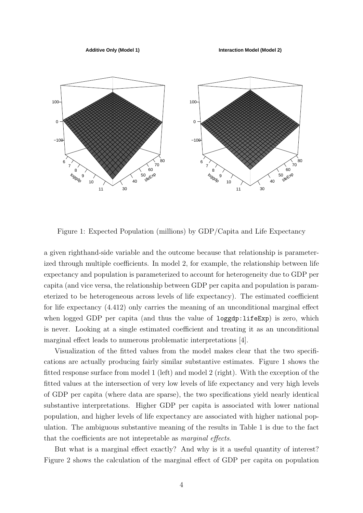**Additive Only (Model 1)**

**Interaction Model (Model 2)**



Figure 1: Expected Population (millions) by GDP/Capita and Life Expectancy

a given righthand-side variable and the outcome because that relationship is parameterized through multiple coefficients. In model 2, for example, the relationship between life expectancy and population is parameterized to account for heterogeneity due to GDP per capita (and vice versa, the relationship between GDP per capita and population is parameterized to be heterogeneous across levels of life expectancy). The estimated coefficient for life expectancy (4.412) only carries the meaning of an unconditional marginal effect when logged GDP per capita (and thus the value of loggdp:lifeExp) is zero, which is never. Looking at a single estimated coefficient and treating it as an unconditional marginal effect leads to numerous problematic interpretations [4].

Visualization of the fitted values from the model makes clear that the two specifications are actually producing fairly similar substantive estimates. Figure 1 shows the fitted response surface from model 1 (left) and model 2 (right). With the exception of the fitted values at the intersection of very low levels of life expectancy and very high levels of GDP per capita (where data are sparse), the two specifications yield nearly identical substantive interpretations. Higher GDP per capita is associated with lower national population, and higher levels of life expectancy are associated with higher national population. The ambiguous substantive meaning of the results in Table 1 is due to the fact that the coefficients are not intepretable as marginal effects.

But what is a marginal effect exactly? And why is it a useful quantity of interest? Figure 2 shows the calculation of the marginal effect of GDP per capita on population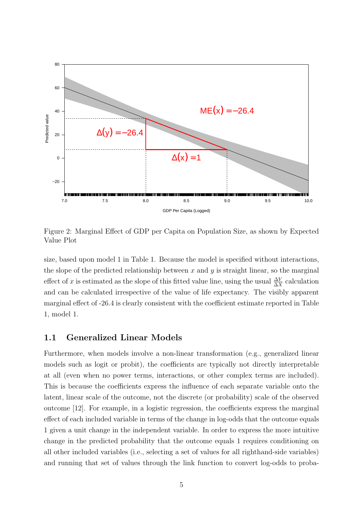

Figure 2: Marginal Effect of GDP per Capita on Population Size, as shown by Expected Value Plot

size, based upon model 1 in Table 1. Because the model is specified without interactions, the slope of the predicted relationship between  $x$  and  $y$  is straight linear, so the marginal effect of x is estimated as the slope of this fitted value line, using the usual  $\frac{\Delta Y}{\Delta X}$  calculation and can be calculated irrespective of the value of life expectancy. The visibly apparent marginal effect of -26.4 is clearly consistent with the coefficient estimate reported in Table 1, model 1.

#### 1.1 Generalized Linear Models

Furthermore, when models involve a non-linear transformation (e.g., generalized linear models such as logit or probit), the coefficients are typically not directly interpretable at all (even when no power terms, interactions, or other complex terms are included). This is because the coefficients express the influence of each separate variable onto the latent, linear scale of the outcome, not the discrete (or probability) scale of the observed outcome [12]. For example, in a logistic regression, the coefficients express the marginal effect of each included variable in terms of the change in log-odds that the outcome equals 1 given a unit change in the independent variable. In order to express the more intuitive change in the predicted probability that the outcome equals 1 requires conditioning on all other included variables (i.e., selecting a set of values for all righthand-side variables) and running that set of values through the link function to convert log-odds to proba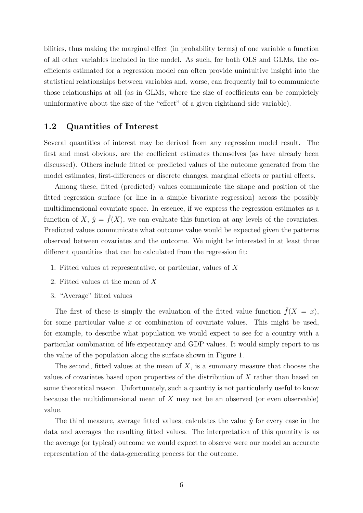bilities, thus making the marginal effect (in probability terms) of one variable a function of all other variables included in the model. As such, for both OLS and GLMs, the coefficients estimated for a regression model can often provide unintuitive insight into the statistical relationships between variables and, worse, can frequently fail to communicate those relationships at all (as in GLMs, where the size of coefficients can be completely uninformative about the size of the "effect" of a given righthand-side variable).

#### 1.2 Quantities of Interest

Several quantities of interest may be derived from any regression model result. The first and most obvious, are the coefficient estimates themselves (as have already been discussed). Others include fitted or predicted values of the outcome generated from the model estimates, first-differences or discrete changes, marginal effects or partial effects.

Among these, fitted (predicted) values communicate the shape and position of the fitted regression surface (or line in a simple bivariate regression) across the possibly multidimensional covariate space. In essence, if we express the regression estimates as a function of X,  $\hat{y} = \hat{f}(X)$ , we can evaluate this function at any levels of the covariates. Predicted values communicate what outcome value would be expected given the patterns observed between covariates and the outcome. We might be interested in at least three different quantities that can be calculated from the regression fit:

- 1. Fitted values at representative, or particular, values of X
- 2. Fitted values at the mean of X
- 3. "Average" fitted values

The first of these is simply the evaluation of the fitted value function  $\tilde{f}(X = x)$ , for some particular value  $x$  or combination of covariate values. This might be used, for example, to describe what population we would expect to see for a country with a particular combination of life expectancy and GDP values. It would simply report to us the value of the population along the surface shown in Figure 1.

The second, fitted values at the mean of  $X$ , is a summary measure that chooses the values of covariates based upon properties of the distribution of X rather than based on some theoretical reason. Unfortunately, such a quantity is not particularly useful to know because the multidimensional mean of  $X$  may not be an observed (or even observable) value.

The third measure, average fitted values, calculates the value  $\hat{y}$  for every case in the data and averages the resulting fitted values. The interpretation of this quantity is as the average (or typical) outcome we would expect to observe were our model an accurate representation of the data-generating process for the outcome.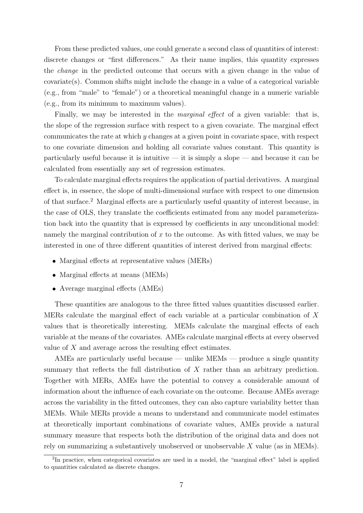From these predicted values, one could generate a second class of quantities of interest: discrete changes or "first differences." As their name implies, this quantity expresses the change in the predicted outcome that occurs with a given change in the value of covariate(s). Common shifts might include the change in a value of a categorical variable (e.g., from "male" to "female") or a theoretical meaningful change in a numeric variable (e.g., from its minimum to maximum values).

Finally, we may be interested in the *marginal effect* of a given variable: that is, the slope of the regression surface with respect to a given covariate. The marginal effect communicates the rate at which y changes at a given point in covariate space, with respect to one covariate dimension and holding all covariate values constant. This quantity is particularly useful because it is intuitive — it is simply a slope — and because it can be calculated from essentially any set of regression estimates.

To calculate marginal effects requires the application of partial derivatives. A marginal effect is, in essence, the slope of multi-dimensional surface with respect to one dimension of that surface.<sup>2</sup> Marginal effects are a particularly useful quantity of interest because, in the case of OLS, they translate the coefficients estimated from any model parameterization back into the quantity that is expressed by coefficients in any unconditional model: namely the marginal contribution of x to the outcome. As with fitted values, we may be interested in one of three different quantities of interest derived from marginal effects:

- Marginal effects at representative values (MERs)
- Marginal effects at means (MEMs)
- Average marginal effects (AMEs)

These quantities are analogous to the three fitted values quantities discussed earlier. MERs calculate the marginal effect of each variable at a particular combination of X values that is theoretically interesting. MEMs calculate the marginal effects of each variable at the means of the covariates. AMEs calculate marginal effects at every observed value of X and average across the resulting effect estimates.

AMEs are particularly useful because — unlike MEMs — produce a single quantity summary that reflects the full distribution of X rather than an arbitrary prediction. Together with MERs, AMEs have the potential to convey a considerable amount of information about the influence of each covariate on the outcome. Because AMEs average across the variability in the fitted outcomes, they can also capture variability better than MEMs. While MERs provide a means to understand and communicate model estimates at theoretically important combinations of covariate values, AMEs provide a natural summary measure that respects both the distribution of the original data and does not rely on summarizing a substantively unobserved or unobservable X value (as in MEMs).

<sup>&</sup>lt;sup>2</sup>In practice, when categorical covariates are used in a model, the "marginal effect" label is applied to quantities calculated as discrete changes.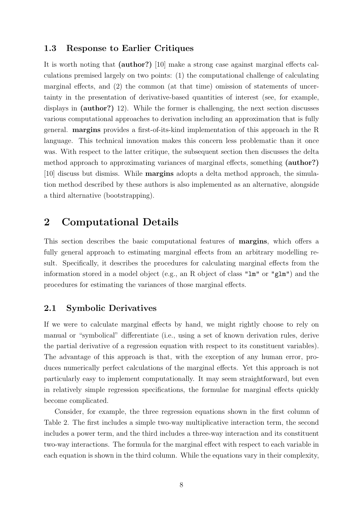#### 1.3 Response to Earlier Critiques

It is worth noting that (author?) [10] make a strong case against marginal effects calculations premised largely on two points: (1) the computational challenge of calculating marginal effects, and (2) the common (at that time) omission of statements of uncertainty in the presentation of derivative-based quantities of interest (see, for example, displays in (author?) 12). While the former is challenging, the next section discusses various computational approaches to derivation including an approximation that is fully general. margins provides a first-of-its-kind implementation of this approach in the R language. This technical innovation makes this concern less problematic than it once was. With respect to the latter critique, the subsequent section then discusses the delta method approach to approximating variances of marginal effects, something (author?) [10] discuss but dismiss. While margins adopts a delta method approach, the simulation method described by these authors is also implemented as an alternative, alongside a third alternative (bootstrapping).

## 2 Computational Details

This section describes the basic computational features of margins, which offers a fully general approach to estimating marginal effects from an arbitrary modelling result. Specifically, it describes the procedures for calculating marginal effects from the information stored in a model object (e.g., an R object of class " $lm$ " or " $glm$ ") and the procedures for estimating the variances of those marginal effects.

#### 2.1 Symbolic Derivatives

If we were to calculate marginal effects by hand, we might rightly choose to rely on manual or "symbolical" differentiate (i.e., using a set of known derivation rules, derive the partial derivative of a regression equation with respect to its constituent variables). The advantage of this approach is that, with the exception of any human error, produces numerically perfect calculations of the marginal effects. Yet this approach is not particularly easy to implement computationally. It may seem straightforward, but even in relatively simple regression specifications, the formulae for marginal effects quickly become complicated.

Consider, for example, the three regression equations shown in the first column of Table 2. The first includes a simple two-way multiplicative interaction term, the second includes a power term, and the third includes a three-way interaction and its constituent two-way interactions. The formula for the marginal effect with respect to each variable in each equation is shown in the third column. While the equations vary in their complexity,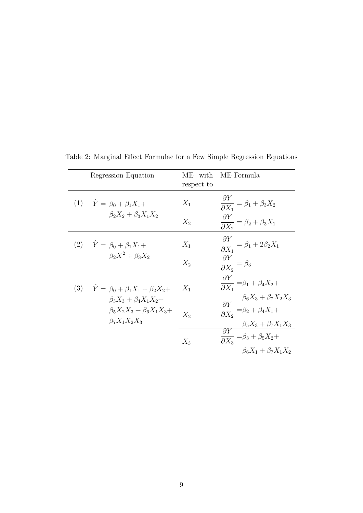|     | Regression Equation                                                                              | ME with<br>respect to | ME Formula                                                                                                                                                                                                                                                                                                                                                                                                                              |
|-----|--------------------------------------------------------------------------------------------------|-----------------------|-----------------------------------------------------------------------------------------------------------------------------------------------------------------------------------------------------------------------------------------------------------------------------------------------------------------------------------------------------------------------------------------------------------------------------------------|
|     | (1) $\hat{Y} = \beta_0 + \beta_1 X_1 +$                                                          | $X_1$                 | $\frac{\partial}{\partial X_1} = \beta_1 + \beta_3 X_2$                                                                                                                                                                                                                                                                                                                                                                                 |
|     | $\beta_2 X_2 + \beta_3 X_1 X_2$                                                                  | $X_2$                 | $\frac{\partial Y}{\partial X_2} = \underbrace{\beta_2 + \beta_3 X_1}_{\text{---}}$                                                                                                                                                                                                                                                                                                                                                     |
|     | (2) $\hat{Y} = \beta_0 + \beta_1 X_1 +$                                                          | $X_1$                 | $\frac{\partial Y}{\partial X_1} = \beta_1 + 2\beta_2 X_1$                                                                                                                                                                                                                                                                                                                                                                              |
|     | $\beta_2 X^2 + \beta_3 X_2$                                                                      | $X_2$                 | $\frac{\partial Y}{\partial X_2} = \beta_3$                                                                                                                                                                                                                                                                                                                                                                                             |
| (3) | $\hat{Y} = \beta_0 + \beta_1 X_1 + \beta_2 X_2 +$                                                | $X_1$                 | $\frac{\partial Y}{\partial X_1} = \beta_1 + \beta_4 X_2 +$                                                                                                                                                                                                                                                                                                                                                                             |
|     | $\beta_3 X_3 + \beta_4 X_1 X_2 +$<br>$\beta_5 X_2 X_3 + \beta_6 X_1 X_3 +$<br>$\beta_7X_1X_2X_3$ | $X_2$                 | $\frac{\beta_6 X_3 + \beta_7 X_2 X_3}{\partial Y_2 = \beta_2 + \beta_4 X_1 +}$<br>$\frac{\beta _{5}X_{3}+\beta _{7}X_{1}X_{3}}% \frac{\beta _{3}X_{3}+2\beta _{4}X_{2}X_{3}}{\beta _{3}+2\beta _{4}+2\beta _{5}+2\beta _{6}+2\beta _{7}+2\beta _{8}+2\beta _{8}+2\beta _{8}+2\beta _{8}+2\beta _{8}+2\beta _{8}+2\beta _{8}+2\beta _{8}+2\beta _{8}+2\beta _{8}+2\beta _{8}+2\beta _{8}+2\beta _{8}+2\beta _{8}+2\beta _{8}+2\beta _{8$ |
|     |                                                                                                  | $X_3$                 | $\overline{\frac{\partial Y}{\partial X_3}}=\beta_3+\beta_5X_2+$<br>$\beta_6 X_1 + \beta_7 X_1 X_2$                                                                                                                                                                                                                                                                                                                                     |

Table 2: Marginal Effect Formulae for a Few Simple Regression Equations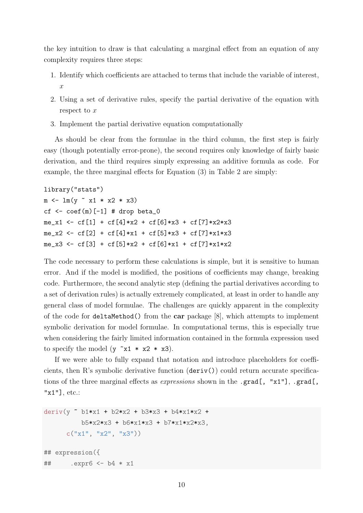the key intuition to draw is that calculating a marginal effect from an equation of any complexity requires three steps:

- 1. Identify which coefficients are attached to terms that include the variable of interest,  $\overline{x}$
- 2. Using a set of derivative rules, specify the partial derivative of the equation with respect to x
- 3. Implement the partial derivative equation computationally

As should be clear from the formulae in the third column, the first step is fairly easy (though potentially error-prone), the second requires only knowledge of fairly basic derivation, and the third requires simply expressing an additive formula as code. For example, the three marginal effects for Equation (3) in Table 2 are simply:

```
library("stats")
```

```
m \leftarrow \text{lm}(y \text{ x1} * x2 * x3)cf \leq coef(m)[-1] # drop beta_0
me_x1 <- cf[1] + cf[4]*x2 + cf[6]*x3 + cf[7]*x2*x3
me_x2 <- cf[2] + cf[4]*x1 + cf[5]*x3 + cf[7]*x1*x3
me_x3 <- cf[3] + cf[5]*x2 + cf[6]*x1 + cf[7]*x1*x2
```
The code necessary to perform these calculations is simple, but it is sensitive to human error. And if the model is modified, the positions of coefficients may change, breaking code. Furthermore, the second analytic step (defining the partial derivatives according to a set of derivation rules) is actually extremely complicated, at least in order to handle any general class of model formulae. The challenges are quickly apparent in the complexity of the code for deltaMethod() from the car package [8], which attempts to implement symbolic derivation for model formulae. In computational terms, this is especially true when considering the fairly limited information contained in the formula expression used to specify the model  $(y \tilde{x}1 \cdot x2 \cdot x3)$ .

If we were able to fully expand that notation and introduce placeholders for coefficients, then R's symbolic derivative function  $(\text{deriv}))$  could return accurate specifications of the three marginal effects as *expressions* shown in the .grad[, "x1"], .grad[, "x1"], etc.:

```
deriv(v \sim b1*x1 + b2*x2 + b3*x3 + b4*x1*x2 +
          b5*x2*x3 + b6*x1*x3 + b7*x1*x2*x3,
      c("x1", "x2", "x3"))## expression({
## .expr6 <- b4 * x1
```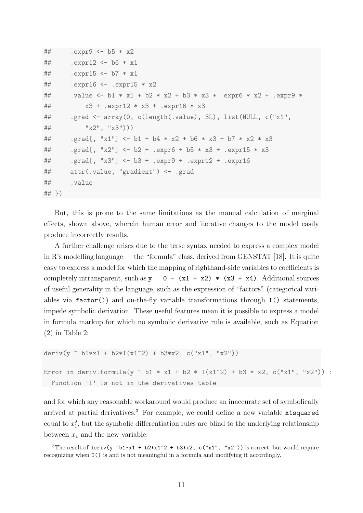```
## .expr9 <- b5 * x2
## .expr12 <- b6 * x1
## .expr15 <- b7 * x1
## .expr16 <- .expr15 * x2
## .value <- b1 * x1 + b2 * x2 + b3 * x3 + .expr6 * x2 + .expr9 *
## x3 + .expr12 * x3 + .expr16 * x3
## .grad <- array(0, c(length(.value), 3L), list(NULL, c("x1",
\# \frac{1}{x^2}, \frac{1}{x^3}))
## .grad[, "x1"] <- b1 + b4 * x2 + b6 * x3 + b7 * x2 * x3
## .grad[, "x2"] <- b2 + .expr6 + b5 * x3 + .expr15 * x3
## .grad[, "x3"] <- b3 + .expr9 + .expr12 + .expr16
## attr(.value, "gradient") <- .grad
## .value
## })
```
But, this is prone to the same limitations as the manual calculation of marginal effects, shown above, wherein human error and iterative changes to the model easily produce incorrectly results.

A further challenge arises due to the terse syntax needed to express a complex model in R's modelling language — the "formula" class, derived from GENSTAT [18]. It is quite easy to express a model for which the mapping of righthand-side variables to coefficients is completely intransparent, such as y 0 -  $(x1 + x2)$  \*  $(x3 + x4)$ . Additional sources of useful generality in the language, such as the expression of "factors" (categorical variables via factor()) and on-the-fly variable transformations through I() statements, impede symbolic derivation. These useful features mean it is possible to express a model in formula markup for which no symbolic derivative rule is available, such as Equation (2) in Table 2:

```
deriv(y \sim b1*x1 + b2*I(x1\sim2) + b3*x2, c("x1", "x2"))
Error in deriv.formula(y \sim b1 * x1 + b2 * I(x1^2) + b3 * x2, c("x1", "x2")) :
  Function 'I' is not in the derivatives table
```
and for which any reasonable workaround would produce an inaccurate set of symbolically arrived at partial derivatives.<sup>3</sup> For example, we could define a new variable x1squared equal to  $x_1^2$ , but the symbolic differentiation rules are blind to the underlying relationship between  $x_1$  and the new variable:

<sup>&</sup>lt;sup>3</sup>The result of deriv(y  $b1*x1 + b2*x1^2 + b3*x2$ , c("x1", "x2")) is correct, but would require recognizing when I() is and is not meaningful in a formula and modifying it accordingly.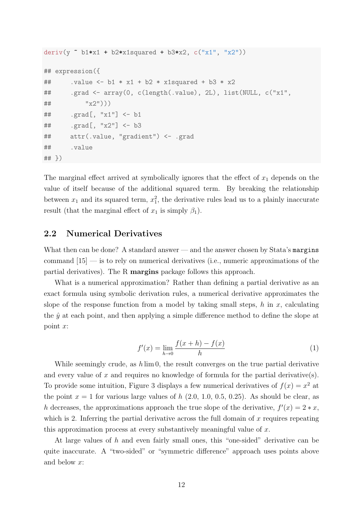```
deriv(y \sim b1*x1 + b2*x1squared + b3*x2, c("x1", "x2"))
## expression({
## .value <- b1 * x1 + b2 * x1squared + b3 * x2## .grad <- array(0, c(length(.value), 2L), list(NULL, c("x1",
## "x2")))
## .grad[, "x1"] <- b1
## .grad[, "x2"] <- b3
## attr(.value, "gradient") <- .grad
## .value
## })
```
The marginal effect arrived at symbolically ignores that the effect of  $x_1$  depends on the value of itself because of the additional squared term. By breaking the relationship between  $x_1$  and its squared term,  $x_1^2$ , the derivative rules lead us to a plainly inaccurate result (that the marginal effect of  $x_1$  is simply  $\beta_1$ ).

#### 2.2 Numerical Derivatives

What then can be done? A standard answer — and the answer chosen by Stata's margins command  $|15|$  — is to rely on numerical derivatives (i.e., numeric approximations of the partial derivatives). The R margins package follows this approach.

What is a numerical approximation? Rather than defining a partial derivative as an exact formula using symbolic derivation rules, a numerical derivative approximates the slope of the response function from a model by taking small steps,  $h$  in  $x$ , calculating the  $\hat{y}$  at each point, and then applying a simple difference method to define the slope at point x:

$$
f'(x) = \lim_{h \to 0} \frac{f(x+h) - f(x)}{h}
$$
 (1)

While seemingly crude, as  $h \lim_{h \to 0} 0$ , the result converges on the true partial derivative and every value of x and requires no knowledge of formula for the partial derivative(s). To provide some intuition, Figure 3 displays a few numerical derivatives of  $f(x) = x^2$  at the point  $x = 1$  for various large values of h  $(2.0, 1.0, 0.5, 0.25)$ . As should be clear, as h decreases, the approximations approach the true slope of the derivative,  $f'(x) = 2 * x$ , which is 2. Inferring the partial derivative across the full domain of  $x$  requires repeating this approximation process at every substantively meaningful value of  $x$ .

At large values of h and even fairly small ones, this "one-sided" derivative can be quite inaccurate. A "two-sided" or "symmetric difference" approach uses points above and below x: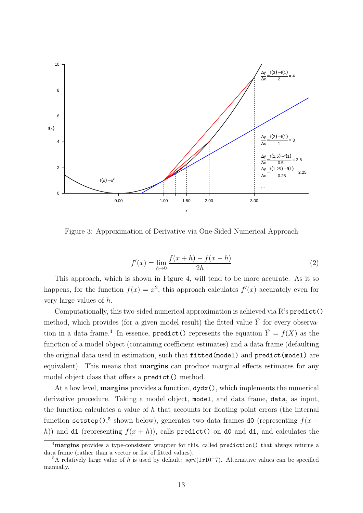

Figure 3: Approximation of Derivative via One-Sided Numerical Approach

$$
f'(x) = \lim_{h \to 0} \frac{f(x+h) - f(x-h)}{2h}
$$
 (2)

This approach, which is shown in Figure 4, will tend to be more accurate. As it so happens, for the function  $f(x) = x^2$ , this approach calculates  $f'(x)$  accurately even for very large values of h.

Computationally, this two-sided numerical approximation is achieved via  $R$ 's predict() method, which provides (for a given model result) the fitted value  $\hat{Y}$  for every observation in a data frame.<sup>4</sup> In essence, predict() represents the equation  $\hat{Y} = f(X)$  as the function of a model object (containing coefficient estimates) and a data frame (defaulting the original data used in estimation, such that fitted(model) and predict(model) are equivalent). This means that **margins** can produce marginal effects estimates for any model object class that offers a predict() method.

At a low level, **margins** provides a function,  $dydx()$ , which implements the numerical derivative procedure. Taking a model object, model, and data frame, data, as input, the function calculates a value of  $h$  that accounts for floating point errors (the internal function setstep(),<sup>5</sup> shown below), generates two data frames d0 (representing  $f(x$ h)) and d1 (representing  $f(x+h)$ ), calls predict() on d0 and d1, and calculates the

<sup>&</sup>lt;sup>4</sup>margins provides a type-consistent wrapper for this, called prediction() that always returns a data frame (rather than a vector or list of fitted values).

<sup>&</sup>lt;sup>5</sup>A relatively large value of h is used by default:  $sqrt(1x10^-7)$ . Alternative values can be specified manually.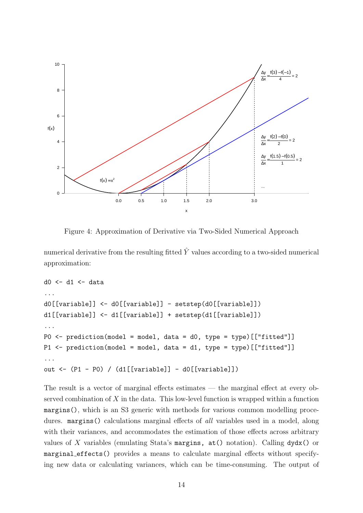

Figure 4: Approximation of Derivative via Two-Sided Numerical Approach

numerical derivative from the resulting fitted  $\hat{Y}$  values according to a two-sided numerical approximation:

```
d0 \le -d1 \le - data
...
d0[[variable]] <- d0[[variable]] - setstep(d0[[variable]])
d1[[variable]] <- d1[[variable]] + setstep(d1[[variable]])
...
P0 \leq prediction(model = model, data = d0, type = type)[["fitted"]]
P1 <- prediction(model = model, data = d1, type = type)[["fitted"]]
...
out <- (P1 - P0) / (d1[[variable]] - d0[[variable]])
```
The result is a vector of marginal effects estimates — the marginal effect at every observed combination of  $X$  in the data. This low-level function is wrapped within a function margins(), which is an S3 generic with methods for various common modelling procedures. margins() calculations marginal effects of *all* variables used in a model, along with their variances, and accommodates the estimation of those effects across arbitrary values of X variables (emulating Stata's margins,  $at()$  notation). Calling  $dydx()$  or marginal effects() provides a means to calculate marginal effects without specifying new data or calculating variances, which can be time-consuming. The output of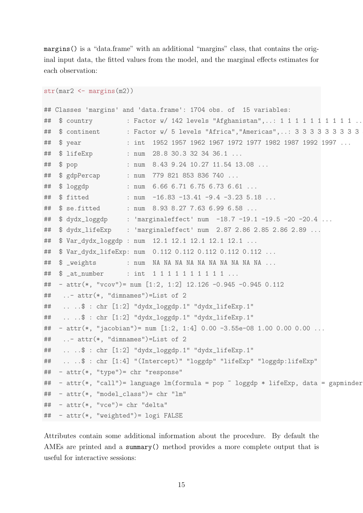margins() is a "data.frame" with an additional "margins" class, that contains the original input data, the fitted values from the model, and the marginal effects estimates for each observation:

```
str(max2 \leftarrow margins(m2))## Classes 'margins' and 'data.frame': 1704 obs. of 15 variables:
## $ country : Factor w/ 142 levels "Afghanistan",..: 1 1 1 1 1 1 1 1 1 1 1 ..
## $ continent : Factor w/ 5 levels "Africa", "Americas",..: 3 3 3 3 3 3 3 3 3
## $ year : int 1952 1957 1962 1967 1972 1977 1982 1987 1992 1997 ...
## $ lifeExp : num 28.8 30.3 32 34 36.1 ...
## $ pop : num 8.43 9.24 10.27 11.54 13.08 ...
## $ gdpPercap : num 779 821 853 836 740 ...
## $ loggdp : num 6.66 6.71 6.75 6.73 6.61 ...
## $ fitted : num -16.83 -13.41 -9.4 -3.23 5.18 ...
## $ se.fitted : num 8.93 8.27 7.63 6.99 6.58 ...
## $ dydx_loggdp : 'marginaleffect' num -18.7 -19.1 -19.5 -20 -20.4 ...
## $ dydx_lifeExp : 'marginaleffect' num 2.87 2.86 2.85 2.86 2.89 ...
## $ Var_dydx_loggdp : num 12.1 12.1 12.1 12.1 12.1 ...
## $ Var_dydx_lifeExp: num 0.112 0.112 0.112 0.112 0.112 ...
## $ _weights : num NA NA NA NA NA NA NA NA NA NA ...
## $ _at_number : int 1 1 1 1 1 1 1 1 1 1 ...
## - attr(*, "vcov")= num [1:2, 1:2] 12.126 -0.945 -0.945 0.112
## ..- attr(*, "dimnames")=List of 2
## .. ..$ : chr [1:2] "dydx_loggdp.1" "dydx_lifeExp.1"
## .. ..$ : chr [1:2] "dydx_loggdp.1" "dydx_lifeExp.1"
## - attr(*, "jacobian")= num [1:2, 1:4] 0.00 -3.55e-08 1.00 0.00 0.00 ...
## ..- attr(*, "dimnames")=List of 2
## .. ..$ : chr [1:2] "dydx_loggdp.1" "dydx_lifeExp.1"
## ....$ : chr [1:4] "(Intercept)" "loggdp" "lifeExp" "loggdp:lifeExp"
## - attr(*, "type")= chr "response"
## - attr(*, "call")= language lm(formula = pop ~ loggdp * lifeExp, data = gapminder
## - attr(*, "model_class")= chr "lm"
## - attr(*, "vce")= chr "delta"
## - attr(*, "weighted")= logi FALSE
```
Attributes contain some additional information about the procedure. By default the AMEs are printed and a summary() method provides a more complete output that is useful for interactive sessions: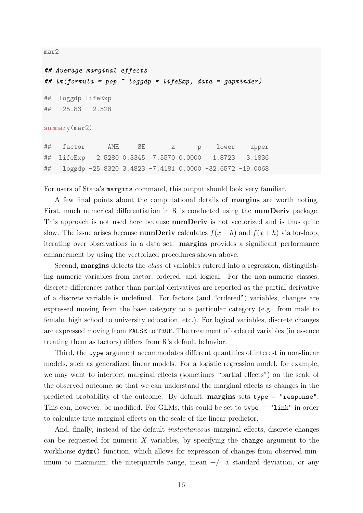mar2

```
## Average marginal effects
## lm(formula = pop ~ loggdp * lifeExp, data = gapminder)
## loggdp lifeExp
## -25.83 2.528
summary(mar2)
## factor AME SE z p lower upper
## lifeExp 2.5280 0.3345 7.5570 0.0000 1.8723 3.1836
## loggdp -25.8320 3.4823 -7.4181 0.0000 -32.6572 -19.0068
```
For users of Stata's margins command, this output should look very familiar.

A few final points about the computational details of margins are worth noting. First, much numerical differentiation in R is conducted using the numDeriv package. This approach is not used here because numDeriv is not vectorized and is thus quite slow. The issue arises because **numDeriv** calculates  $f(x-h)$  and  $f(x+h)$  via for-loop, iterating over observations in a data set. margins provides a significant performance enhancement by using the vectorized procedures shown above.

Second, **margins** detects the *class* of variables entered into a regression, distinguishing numeric variables from factor, ordered, and logical. For the non-numeric classes, discrete differences rather than partial derivatives are reported as the partial derivative of a discrete variable is undefined. For factors (and "ordered") variables, changes are expressed moving from the base category to a particular category (e.g., from male to female, high school to university education, etc.). For logical variables, discrete changes are expressed moving from FALSE to TRUE. The treatment of ordered variables (in essence treating them as factors) differs from R's default behavior.

Third, the type argument accommodates different quantities of interest in non-linear models, such as generalized linear models. For a logistic regression model, for example, we may want to interpret marginal effects (sometimes "partial effects") on the scale of the observed outcome, so that we can understand the marginal effects as changes in the predicted probability of the outcome. By default, margins sets type = "response". This can, however, be modified. For GLMs, this could be set to type = "link" in order to calculate true marginal effects on the scale of the linear predictor.

And, finally, instead of the default instantaneous marginal effects, discrete changes can be requested for numeric  $X$  variables, by specifying the change argument to the workhorse  $dydx$  () function, which allows for expression of changes from observed minimum to maximum, the interquartile range, mean  $+/-$  a standard deviation, or any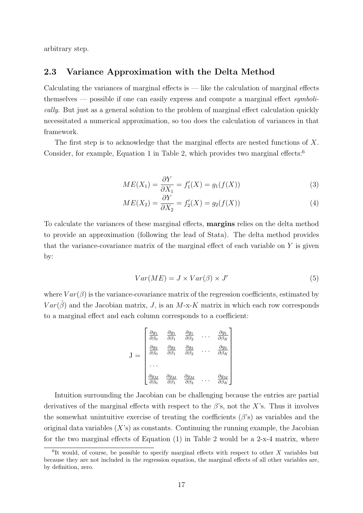arbitrary step.

#### 2.3 Variance Approximation with the Delta Method

Calculating the variances of marginal effects is  $-$  like the calculation of marginal effects themselves — possible if one can easily express and compute a marginal effect symbolically. But just as a general solution to the problem of marginal effect calculation quickly necessitated a numerical approximation, so too does the calculation of variances in that framework.

The first step is to acknowledge that the marginal effects are nested functions of  $X$ . Consider, for example, Equation 1 in Table 2, which provides two marginal effects:<sup>6</sup>

$$
ME(X_1) = \frac{\partial Y}{\partial X_1} = f'_1(X) = g_1(f(X))
$$
\n(3)

$$
ME(X_2) = \frac{\partial Y}{\partial X_2} = f_2'(X) = g_2(f(X))
$$
\n<sup>(4)</sup>

To calculate the variances of these marginal effects, margins relies on the delta method to provide an approximation (following the lead of Stata). The delta method provides that the variance-covariance matrix of the marginal effect of each variable on  $Y$  is given by:

$$
Var(ME) = J \times Var(\beta) \times J'
$$
\n(5)

where  $Var(\beta)$  is the variance-covariance matrix of the regression coefficients, estimated by  $Var(\hat{\beta})$  and the Jacobian matrix, J, is an M-x-K matrix in which each row corresponds to a marginal effect and each column corresponds to a coefficient:

$$
\mathbf{J} = \begin{bmatrix} \frac{\partial g_1}{\partial \beta_0} & \frac{\partial g_1}{\partial \beta_1} & \frac{\partial g_1}{\partial \beta_2} & \cdots & \frac{\partial g_1}{\partial \beta_K} \\ \frac{\partial g_2}{\partial \beta_0} & \frac{\partial g_2}{\partial \beta_1} & \frac{\partial g_2}{\partial \beta_2} & \cdots & \frac{\partial g_2}{\partial \beta_K} \\ \cdots & & & & & \\ \frac{\partial g_M}{\partial \beta_0} & \frac{\partial g_M}{\partial \beta_1} & \frac{\partial g_M}{\partial \beta_2} & \cdots & \frac{\partial g_M}{\partial \beta_K} \end{bmatrix}
$$

Intuition surrounding the Jacobian can be challenging because the entries are partial derivatives of the marginal effects with respect to the  $\beta$ 's, not the X's. Thus it involves the somewhat unintuitive exercise of treating the coefficients  $(\beta's)$  as variables and the original data variables  $(X<sup>s</sup>)$  as constants. Continuing the running example, the Jacobian for the two marginal effects of Equation  $(1)$  in Table 2 would be a 2-x-4 matrix, where

 ${}^{6}$ It would, of course, be possible to specify marginal effects with respect to other X variables but because they are not included in the regression equation, the marginal effects of all other variables are, by definition, zero.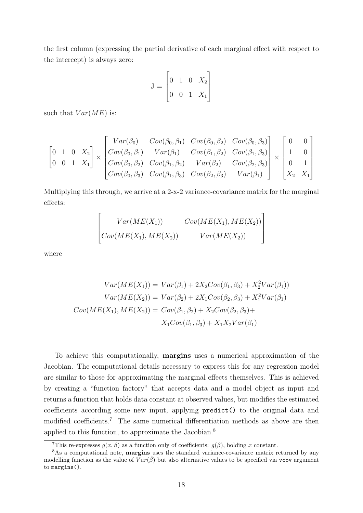the first column (expressing the partial derivative of each marginal effect with respect to the intercept) is always zero:

$$
J = \begin{bmatrix} 0 & 1 & 0 & X_2 \\ 0 & 0 & 1 & X_1 \end{bmatrix}
$$

such that  $Var(ME)$  is:

$$
\begin{bmatrix} 0 & 1 & 0 & X_2 \ 0 & 0 & 1 & X_1 \end{bmatrix} \times \begin{bmatrix} Var(\beta_0) & Cov(\beta_0, \beta_1) & Cov(\beta_0, \beta_2) & Cov(\beta_0, \beta_3) \\ Cov(\beta_0, \beta_1) & Var(\beta_1) & Cov(\beta_1, \beta_2) & Cov(\beta_1, \beta_3) \\ Cov(\beta_0, \beta_2) & Cov(\beta_1, \beta_2) & Var(\beta_2) & Cov(\beta_2, \beta_3) \\ Cov(\beta_0, \beta_3) & Cov(\beta_1, \beta_3) & Cov(\beta_2, \beta_3) & Var(\beta_1) \end{bmatrix} \times \begin{bmatrix} 0 & 0 \\ 1 & 0 \\ 0 & 1 \\ X_2 & X_1 \end{bmatrix}
$$

Multiplying this through, we arrive at a 2-x-2 variance-covariance matrix for the marginal effects:

$$
\begin{bmatrix} Var(ME(X_1)) & Cov(ME(X_1), ME(X_2)) \\ Cov(ME(X_1), ME(X_2)) & Var(ME(X_2)) \end{bmatrix}
$$

where

$$
Var(ME(X_1)) = Var(\beta_1) + 2X_2Cov(\beta_1, \beta_3) + X_2^2Var(\beta_1))
$$

$$
Var(ME(X_2)) = Var(\beta_2) + 2X_1Cov(\beta_2, \beta_3) + X_1^2Var(\beta_1)
$$

$$
Cov(ME(X_1), ME(X_2)) = Cov(\beta_1, \beta_2) + X_2Cov(\beta_2, \beta_3) + X_1Cov(\beta_1, \beta_3) + X_1X_2Var(\beta_1)
$$

To achieve this computationally, margins uses a numerical approximation of the Jacobian. The computational details necessary to express this for any regression model are similar to those for approximating the marginal effects themselves. This is achieved by creating a "function factory" that accepts data and a model object as input and returns a function that holds data constant at observed values, but modifies the estimated coefficients according some new input, applying predict() to the original data and modified coefficients.<sup>7</sup> The same numerical differentiation methods as above are then applied to this function, to approximate the Jacobian.<sup>8</sup>

<sup>&</sup>lt;sup>7</sup>This re-expresses  $g(x, \beta)$  as a function only of coefficients:  $g(\beta)$ , holding x constant.

<sup>&</sup>lt;sup>8</sup>As a computational note, **margins** uses the standard variance-covariance matrix returned by any modelling function as the value of  $Var(\hat{\beta})$  but also alternative values to be specified via vcov argument to margins().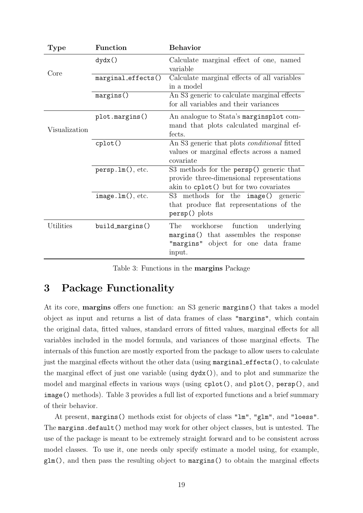| Type          | Function            | <b>Behavior</b>                                                                                                                      |  |  |
|---------------|---------------------|--------------------------------------------------------------------------------------------------------------------------------------|--|--|
| Core          | dydx()              | Calculate marginal effect of one, named<br>variable                                                                                  |  |  |
|               | marginal_effects()  | Calculate marginal effects of all variables<br>in a model                                                                            |  |  |
|               | margins()           | An S3 generic to calculate marginal effects<br>for all variables and their variances                                                 |  |  |
| Visualization | plot.margins()      | An analogue to Stata's marginsplot com-<br>mand that plots calculated marginal ef-<br>fects.                                         |  |  |
|               | cplot()             | An S3 generic that plots <i>conditional</i> fitted<br>values or marginal effects across a named<br>covariate                         |  |  |
|               | person.lm(), etc.   | S3 methods for the persp() generic that<br>provide three-dimensional representations<br>akin to cplot() but for two covariates       |  |  |
|               | $image.lm()$ , etc. | S3 methods for the image() generic<br>that produce flat representations of the<br>$persp()$ plots                                    |  |  |
| Utilities     | build_margins()     | The<br>workhorse<br>function<br>underlying<br>margins() that assembles the response<br>"margins" object for one data frame<br>input. |  |  |

Table 3: Functions in the margins Package

## 3 Package Functionality

At its core, margins offers one function: an S3 generic margins() that takes a model object as input and returns a list of data frames of class "margins", which contain the original data, fitted values, standard errors of fitted values, marginal effects for all variables included in the model formula, and variances of those marginal effects. The internals of this function are mostly exported from the package to allow users to calculate just the marginal effects without the other data (using marginal effects(), to calculate the marginal effect of just one variable (using dydx()), and to plot and summarize the model and marginal effects in various ways (using cplot(), and plot(), persp(), and image() methods). Table 3 provides a full list of exported functions and a brief summary of their behavior.

At present, margins() methods exist for objects of class "lm", "glm", and "loess". The margins.default() method may work for other object classes, but is untested. The use of the package is meant to be extremely straight forward and to be consistent across model classes. To use it, one needs only specify estimate a model using, for example, glm(), and then pass the resulting object to margins() to obtain the marginal effects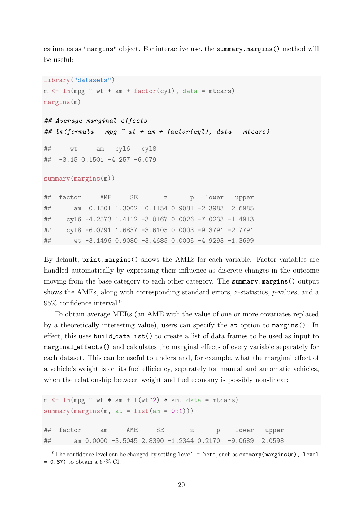estimates as "margins" object. For interactive use, the summary.margins() method will be useful:

```
library("datasets")
m \leftarrow \text{lm}(mpg \text{ wt + am + factor(cyl}), \text{ data = mtcars})margins(m)
## Average marginal effects
## lm(formula = mpq \sim wt + am + factor(cyl), data = mtcars)
## wt am cyl6 cyl8
## -3.15 0.1501 -4.257 -6.079
summary(margins(m))
## factor AME SE z p lower upper
## am 0.1501 1.3002 0.1154 0.9081 -2.3983 2.6985
## cyl6 -4.2573 1.4112 -3.0167 0.0026 -7.0233 -1.4913
## cyl8 -6.0791 1.6837 -3.6105 0.0003 -9.3791 -2.7791
## wt -3.1496 0.9080 -3.4685 0.0005 -4.9293 -1.3699
```
By default, print.margins() shows the AMEs for each variable. Factor variables are handled automatically by expressing their influence as discrete changes in the outcome moving from the base category to each other category. The summary.margins() output shows the AMEs, along with corresponding standard errors, z-statistics, p-values, and a 95% confidence interval.<sup>9</sup>

To obtain average MERs (an AME with the value of one or more covariates replaced by a theoretically interesting value), users can specify the at option to margins(). In effect, this uses build datalist() to create a list of data frames to be used as input to marginal effects() and calculates the marginal effects of every variable separately for each dataset. This can be useful to understand, for example, what the marginal effect of a vehicle's weight is on its fuel efficiency, separately for manual and automatic vehicles, when the relationship between weight and fuel economy is possibly non-linear:

```
m \leq \text{lm}(\text{mpg} \text{ wt} * \text{am} + I(\text{wt}^2) * \text{am}, \text{data} = \text{mtcars})summary(margins(m, at = list(am = 0:1)))
## factor am AME SE z p lower upper
## am 0.0000 -3.5045 2.8390 -1.2344 0.2170 -9.0689 2.0598
```

```
<sup>9</sup>The confidence level can be changed by setting level = beta, such as summary (margins(m), level
= 0.67 to obtain a 67% CI.
```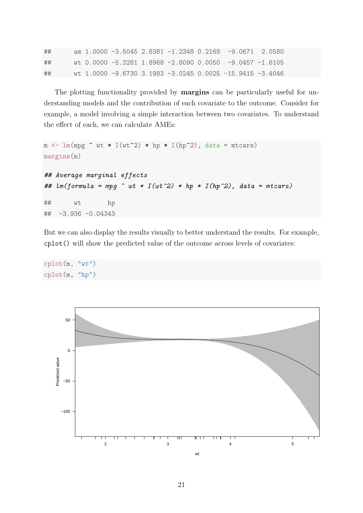| ## |  |  |  | am $1.0000 - 3.5045$ 2.8381 -1.2348 0.2169 -9.0671 2.0580 |  |
|----|--|--|--|-----------------------------------------------------------|--|
| ## |  |  |  | wt 0.0000 -5.3281 1.8968 -2.8090 0.0050 -9.0457 -1.6105   |  |
| ## |  |  |  | wt 1.0000 -9.6730 3.1983 -3.0245 0.0025 -15.9415 -3.4046  |  |

The plotting functionality provided by **margins** can be particularly useful for understanding models and the contribution of each covariate to the outcome. Consider for example, a model involving a simple interaction between two covariates. To understand the effect of each, we can calculate AMEs:

```
m \leftarrow \text{lm}(\text{mpg} \sim \text{wt} * I(\text{wt}^2) * \text{hp} * I(\text{hp}^2)), data = mtcars)
margins(m)
## Average marginal effects
## lm(formula = mp \sim wt * I(wt^2) * hp * I(hp^2), data = mtcars)
## wt hp
## -3.936 -0.04343
```
But we can also display the results visually to better understand the results. For example, cplot() will show the predicted value of the outcome across levels of covariates:



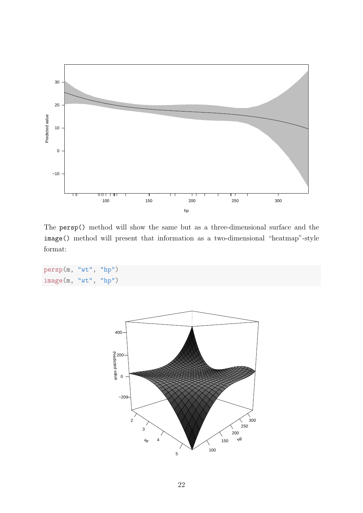

The persp() method will show the same but as a three-dimensional surface and the image() method will present that information as a two-dimensional "heatmap"-style format:

```
persp(m, "wt", "hp")
image(m, "wt", "hp")
```
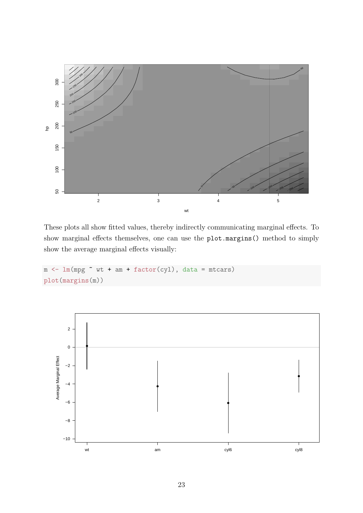

These plots all show fitted values, thereby indirectly communicating marginal effects. To show marginal effects themselves, one can use the plot.margins() method to simply show the average marginal effects visually:

```
m \leftarrow \text{lm}(\text{mpg} \sim \text{wt} + \text{am} + \text{factor}(\text{cyl}), \text{ data} = \text{mtcars})plot(margins(m))
```
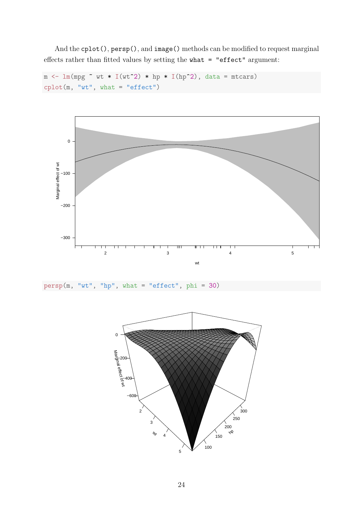And the cplot(), persp(), and image() methods can be modified to request marginal effects rather than fitted values by setting the what = "effect" argument:

```
m \leftarrow \text{lm}(\text{mpg} \sim \text{wt} * I(\text{wt}^2) * \text{hp} * I(\text{hp}^2)), data = mtcars)
\text{cplot}(m, "wt", \text{ what} = "effect")
```


```
persp(m, "wt", "hp", what = "effect", phi = 30)
```
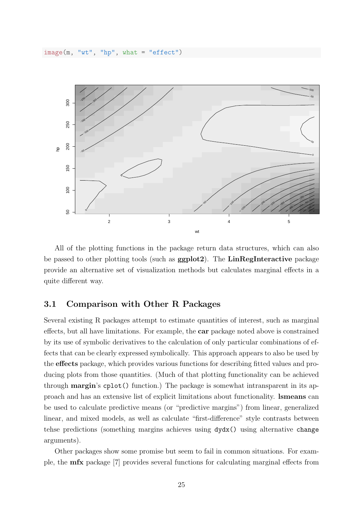$image(m, "wt", "hp", what = "effect")$ 



All of the plotting functions in the package return data structures, which can also be passed to other plotting tools (such as ggplot2). The LinRegInteractive package provide an alternative set of visualization methods but calculates marginal effects in a quite different way.

#### 3.1 Comparison with Other R Packages

Several existing R packages attempt to estimate quantities of interest, such as marginal effects, but all have limitations. For example, the car package noted above is constrained by its use of symbolic derivatives to the calculation of only particular combinations of effects that can be clearly expressed symbolically. This approach appears to also be used by the effects package, which provides various functions for describing fitted values and producing plots from those quantities. (Much of that plotting functionality can be achieved through margin's cplot() function.) The package is somewhat intransparent in its approach and has an extensive list of explicit limitations about functionality. lsmeans can be used to calculate predictive means (or "predictive margins") from linear, generalized linear, and mixed models, as well as calculate "first-difference" style contrasts between tehse predictions (something margins achieves using dydx() using alternative change arguments).

Other packages show some promise but seem to fail in common situations. For example, the mfx package [7] provides several functions for calculating marginal effects from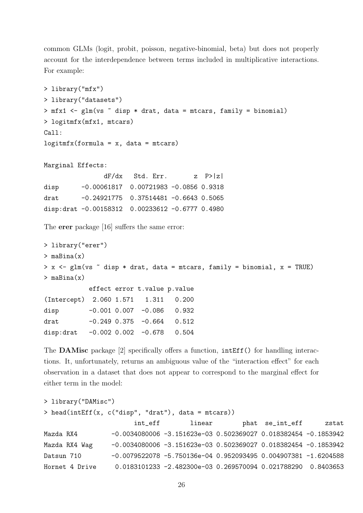common GLMs (logit, probit, poisson, negative-binomial, beta) but does not properly account for the interdependence between terms included in multiplicative interactions. For example:

```
> library("mfx")
> library("datasets")
> mfx1 <- glm(vs \tilde{ } disp * drat, data = mtcars, family = binomial)
> logitmfx(mfx1, mtcars)
Call:
logitmfx(formula = x, data = mtcars)Marginal Effects:
               dF/dx Std. Err. z P>|z|
disp -0.00061817  0.00721983 -0.0856  0.9318
drat -0.24921775 0.37514481 -0.6643 0.5065
disp:drat -0.00158312 0.00233612 -0.6777 0.4980
The erer package [16] suffers the same error:
> library("erer")
> maBina(x)
> x < - glm(vs \tilde{ } disp * drat, data = mtcars, family = binomial, x = TRUE)
> maBina(x)
           effect error t.value p.value
(Intercept) 2.060 1.571 1.311 0.200
disp -0.001 0.007 -0.086 0.932
drat -0.249 0.375 -0.664 0.512
disp:drat -0.002 0.002 -0.678 0.504
```
The DAMisc package [2] specifically offers a function, intEff() for handling interactions. It, unfortunately, returns an ambiguous value of the "interaction effect" for each observation in a dataset that does not appear to correspond to the marginal effect for either term in the model:

```
> library("DAMisc")
> head(intEff(x, c("disp", "drat"), data = mtcars))
                      int_eff linear phat se_int_eff zstat
Mazda RX4 -0.0034080006 -3.151623e-03 0.502369027 0.018382454 -0.1853942
Mazda RX4 Wag -0.0034080006 -3.151623e-03 0.502369027 0.018382454 -0.1853942
Datsun 710 -0.0079522078 -5.750136e-04 0.952093495 0.004907381 -1.6204588
Hornet 4 Drive 0.0183101233 -2.482300e-03 0.269570094 0.021788290 0.8403653
```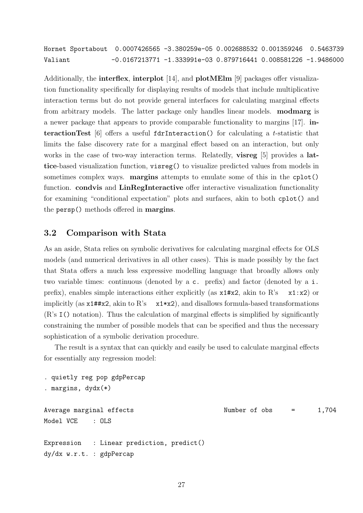Hornet Sportabout 0.0007426565 -3.380259e-05 0.002688532 0.001359246 0.5463739 Valiant -0.0167213771 -1.333991e-03 0.879716441 0.008581226 -1.9486000

Additionally, the **interflex**, **interplot** [14], and **plotMElm** [9] packages offer visualization functionality specifically for displaying results of models that include multiplicative interaction terms but do not provide general interfaces for calculating marginal effects from arbitrary models. The latter package only handles linear models. modmarg is a newer package that appears to provide comparable functionality to margins [17]. interactionTest  $[6]$  offers a useful fdrInteraction() for calculating a t-statistic that limits the false discovery rate for a marginal effect based on an interaction, but only works in the case of two-way interaction terms. Relatedly, **visreg** [5] provides a **lat**tice-based visualization function, visreg() to visualize predicted values from models in sometimes complex ways. **margins** attempts to emulate some of this in the cplot() function. condvis and LinRegInteractive offer interactive visualization functionality for examining "conditional expectation" plots and surfaces, akin to both cplot() and the persp() methods offered in margins.

### 3.2 Comparison with Stata

As an aside, Stata relies on symbolic derivatives for calculating marginal effects for OLS models (and numerical derivatives in all other cases). This is made possibly by the fact that Stata offers a much less expressive modelling language that broadly allows only two variable times: continuous (denoted by a c. prefix) and factor (denoted by a i. prefix), enables simple interactions either explicitly (as  $x1#x2$ , akin to R's  $x1:x2$ ) or implicitly (as  $x1#4x2$ , akin to R's  $x1*x2$ ), and disallows formula-based transformations (R's I() notation). Thus the calculation of marginal effects is simplified by significantly constraining the number of possible models that can be specified and thus the necessary sophistication of a symbolic derivation procedure.

The result is a syntax that can quickly and easily be used to calculate marginal effects for essentially any regression model:

```
. quietly reg pop gdpPercap
. margins, dydx(*)
Average marginal effects Number of obs = 1,704
Model VCE : OLS
Expression : Linear prediction, predict()
```

```
dy/dx w.r.t. : gdpPercap
```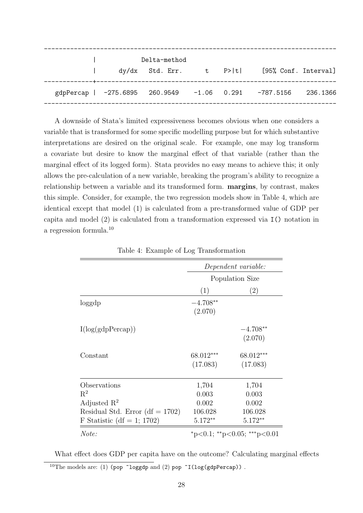|  | Delta-method |  |                                                      |          |
|--|--------------|--|------------------------------------------------------|----------|
|  |              |  | dy/dx Std. Err. t P> t  [95% Conf. Interval]         |          |
|  |              |  | gdpPercap   -275.6895 260.9549 -1.06 0.291 -787.5156 | 236.1366 |
|  |              |  |                                                      |          |

A downside of Stata's limited expressiveness becomes obvious when one considers a variable that is transformed for some specific modelling purpose but for which substantive interpretations are desired on the original scale. For example, one may log transform a covariate but desire to know the marginal effect of that variable (rather than the marginal effect of its logged form). Stata provides no easy means to achieve this; it only allows the pre-calculation of a new variable, breaking the program's ability to recognize a relationship between a variable and its transformed form. margins, by contrast, makes this simple. Consider, for example, the two regression models show in Table 4, which are identical except that model (1) is calculated from a pre-transformed value of GDP per capita and model (2) is calculated from a transformation expressed via I() notation in a regression formula.<sup>10</sup>

|                                    | Dependent variable:<br>Population Size |                       |  |
|------------------------------------|----------------------------------------|-----------------------|--|
|                                    |                                        |                       |  |
|                                    | (1)                                    | (2)                   |  |
| loggdp                             | $-4.708**$<br>(2.070)                  |                       |  |
| I(log(gdpPercap))                  |                                        | $-4.708**$<br>(2.070) |  |
| Constant                           | 68.012***<br>(17.083)                  | 68.012***<br>(17.083) |  |
| Observations                       | 1,704                                  | 1,704                 |  |
| $R^2$                              | 0.003                                  | 0.003                 |  |
| Adjusted $\mathbb{R}^2$            | 0.002                                  | 0.002                 |  |
| Residual Std. Error (df $= 1702$ ) | 106.028                                | 106.028               |  |
| F Statistic (df = 1; 1702)         | $5.172**$                              | $5.172**$             |  |
| Note:                              | *p<0.1; **p<0.05; ***p<0.01            |                       |  |

Table 4: Example of Log Transformation

What effect does GDP per capita have on the outcome? Calculating marginal effects <sup>10</sup>The models are: (1) (pop ~loggdp and (2) pop ~I(log(gdpPercap)).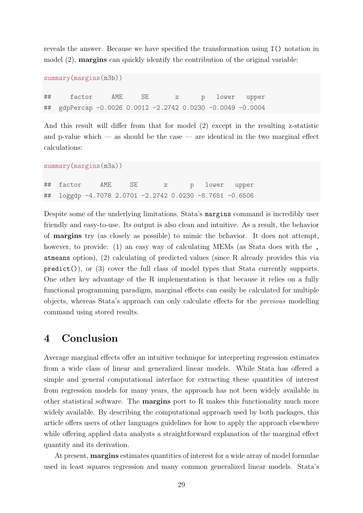reveals the answer. Because we have specified the transformation using I() notation in model  $(2)$ , **margins** can quickly identify the contribution of the original variable:

```
summary(margins(m3b))
## factor AME SE z p lower upper
## gdpPercap -0.0026 0.0012 -2.2742 0.0230 -0.0049 -0.0004
```
And this result will differ from that for model (2) except in the resulting z-statistic and p-value which — as should be the case — are identical in the two marginal effect calculations:

summary(margins(m3a))

## factor AME SE z p lower upper ## loggdp -4.7078 2.0701 -2.2742 0.0230 -8.7651 -0.6506

Despite some of the underlying limitations, Stata's margins command is incredibly user friendly and easy-to-use. Its output is also clean and intuitive. As a result, the behavior of margins try (as closely as possible) to mimic the behavior. It does not attempt, however, to provide: (1) an easy way of calculating MEMs (as Stata does with the , atmeans option), (2) calculating of predicted values (since R already provides this via predict()), or (3) cover the full class of model types that Stata currently supports. One other key advantage of the R implementation is that because it relies on a fully functional programming paradigm, marginal effects can easily be calculated for multiple objects, whereas Stata's approach can only calculate effects for the previous modelling command using stored results.

## 4 Conclusion

Average marginal effects offer an intuitive technique for interpreting regression estimates from a wide class of linear and generalized linear models. While Stata has offered a simple and general computational interface for extracting these quantities of interest from regression models for many years, the approach has not been widely available in other statistical software. The margins port to R makes this functionality much more widely available. By describing the computational approach used by both packages, this article offers users of other languages guidelines for how to apply the approach elsewhere while offering applied data analysts a straightforward explanation of the marginal effect quantity and its derivation.

At present, **margins** estimates quantities of interest for a wide array of model formulae used in least squares regression and many common generalized linear models. Stata's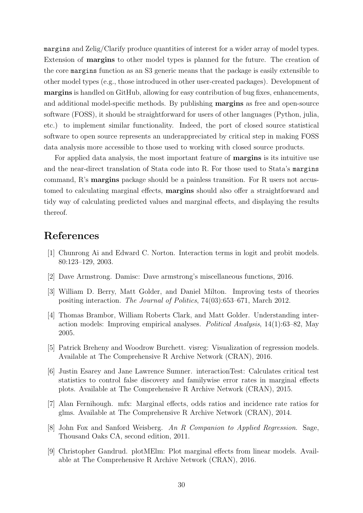margins and Zelig/Clarify produce quantities of interest for a wider array of model types. Extension of margins to other model types is planned for the future. The creation of the core margins function as an S3 generic means that the package is easily extensible to other model types (e.g., those introduced in other user-created packages). Development of margins is handled on GitHub, allowing for easy contribution of bug fixes, enhancements, and additional model-specific methods. By publishing margins as free and open-source software (FOSS), it should be straightforward for users of other languages (Python, julia, etc.) to implement similar functionality. Indeed, the port of closed source statistical software to open source represents an underappreciated by critical step in making FOSS data analysis more accessible to those used to working with closed source products.

For applied data analysis, the most important feature of margins is its intuitive use and the near-direct translation of Stata code into R. For those used to Stata's margins command, R's margins package should be a painless transition. For R users not accustomed to calculating marginal effects, margins should also offer a straightforward and tidy way of calculating predicted values and marginal effects, and displaying the results thereof.

## References

- [1] Chunrong Ai and Edward C. Norton. Interaction terms in logit and probit models. 80:123–129, 2003.
- [2] Dave Armstrong. Damisc: Dave armstrong's miscellaneous functions, 2016.
- [3] William D. Berry, Matt Golder, and Daniel Milton. Improving tests of theories positing interaction. The Journal of Politics, 74(03):653–671, March 2012.
- [4] Thomas Brambor, William Roberts Clark, and Matt Golder. Understanding interaction models: Improving empirical analyses. Political Analysis, 14(1):63–82, May 2005.
- [5] Patrick Breheny and Woodrow Burchett. visreg: Visualization of regression models. Available at The Comprehensive R Archive Network (CRAN), 2016.
- [6] Justin Esarey and Jane Lawrence Sumner. interactionTest: Calculates critical test statistics to control false discovery and familywise error rates in marginal effects plots. Available at The Comprehensive R Archive Network (CRAN), 2015.
- [7] Alan Fernihough. mfx: Marginal effects, odds ratios and incidence rate ratios for glms. Available at The Comprehensive R Archive Network (CRAN), 2014.
- [8] John Fox and Sanford Weisberg. An R Companion to Applied Regression. Sage, Thousand Oaks CA, second edition, 2011.
- [9] Christopher Gandrud. plotMElm: Plot marginal effects from linear models. Available at The Comprehensive R Archive Network (CRAN), 2016.